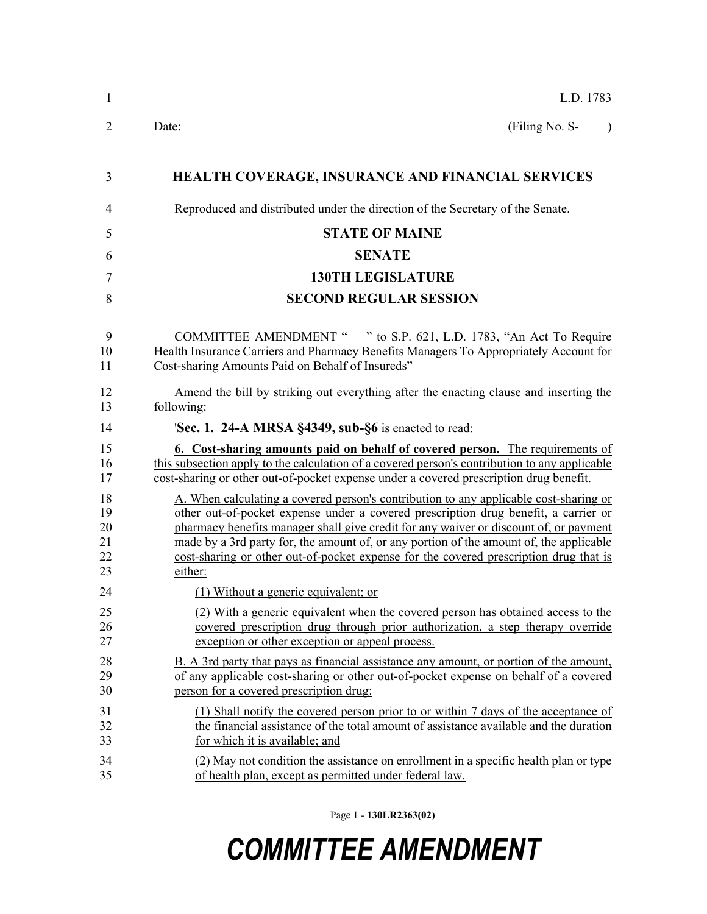| 1                                | L.D. 1783                                                                                                                                                                                                                                                                                                                                                                                                                                                            |
|----------------------------------|----------------------------------------------------------------------------------------------------------------------------------------------------------------------------------------------------------------------------------------------------------------------------------------------------------------------------------------------------------------------------------------------------------------------------------------------------------------------|
| $\overline{2}$                   | (Filing No. S-<br>Date:<br>$\lambda$                                                                                                                                                                                                                                                                                                                                                                                                                                 |
| 3                                | <b>HEALTH COVERAGE, INSURANCE AND FINANCIAL SERVICES</b>                                                                                                                                                                                                                                                                                                                                                                                                             |
| 4                                | Reproduced and distributed under the direction of the Secretary of the Senate.                                                                                                                                                                                                                                                                                                                                                                                       |
| 5                                | <b>STATE OF MAINE</b>                                                                                                                                                                                                                                                                                                                                                                                                                                                |
| 6                                | <b>SENATE</b>                                                                                                                                                                                                                                                                                                                                                                                                                                                        |
| 7                                | <b>130TH LEGISLATURE</b>                                                                                                                                                                                                                                                                                                                                                                                                                                             |
| 8                                | <b>SECOND REGULAR SESSION</b>                                                                                                                                                                                                                                                                                                                                                                                                                                        |
| 9<br>10<br>11                    | COMMITTEE AMENDMENT " " to S.P. 621, L.D. 1783, "An Act To Require<br>Health Insurance Carriers and Pharmacy Benefits Managers To Appropriately Account for<br>Cost-sharing Amounts Paid on Behalf of Insureds"                                                                                                                                                                                                                                                      |
| 12<br>13                         | Amend the bill by striking out everything after the enacting clause and inserting the<br>following:                                                                                                                                                                                                                                                                                                                                                                  |
| 14                               | 'Sec. 1. 24-A MRSA §4349, sub-§6 is enacted to read:                                                                                                                                                                                                                                                                                                                                                                                                                 |
| 15<br>16<br>17                   | 6. Cost-sharing amounts paid on behalf of covered person. The requirements of<br>this subsection apply to the calculation of a covered person's contribution to any applicable<br>cost-sharing or other out-of-pocket expense under a covered prescription drug benefit.                                                                                                                                                                                             |
| 18<br>19<br>20<br>21<br>22<br>23 | A. When calculating a covered person's contribution to any applicable cost-sharing or<br>other out-of-pocket expense under a covered prescription drug benefit, a carrier or<br>pharmacy benefits manager shall give credit for any waiver or discount of, or payment<br>made by a 3rd party for, the amount of, or any portion of the amount of, the applicable<br>cost-sharing or other out-of-pocket expense for the covered prescription drug that is<br>either: |
| 24                               | (1) Without a generic equivalent; or                                                                                                                                                                                                                                                                                                                                                                                                                                 |
| 25<br>26<br>27                   | (2) With a generic equivalent when the covered person has obtained access to the<br>covered prescription drug through prior authorization, a step therapy override<br>exception or other exception or appeal process.                                                                                                                                                                                                                                                |
| 28<br>29<br>30                   | B. A 3rd party that pays as financial assistance any amount, or portion of the amount,<br>of any applicable cost-sharing or other out-of-pocket expense on behalf of a covered<br>person for a covered prescription drug:                                                                                                                                                                                                                                            |
| 31<br>32<br>33                   | (1) Shall notify the covered person prior to or within 7 days of the acceptance of<br>the financial assistance of the total amount of assistance available and the duration<br>for which it is available; and                                                                                                                                                                                                                                                        |
| 34<br>35                         | (2) May not condition the assistance on enrollment in a specific health plan or type<br>of health plan, except as permitted under federal law.                                                                                                                                                                                                                                                                                                                       |

Page 1 - **130LR2363(02)**

## *COMMITTEE AMENDMENT*